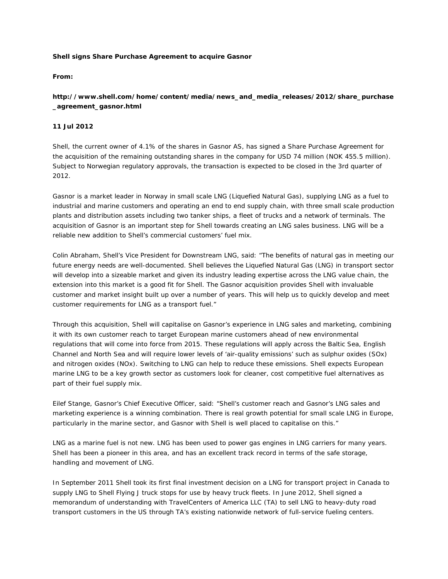# **Shell signs Share Purchase Agreement to acquire Gasnor**

# **From:**

**http://www.shell.com/home/content/media/news\_and\_media\_releases/2012/share\_purchase \_agreement\_gasnor.html**

# **11 Jul 2012**

Shell, the current owner of 4.1% of the shares in Gasnor AS, has signed a Share Purchase Agreement for the acquisition of the remaining outstanding shares in the company for USD 74 million (NOK 455.5 million). Subject to Norwegian regulatory approvals, the transaction is expected to be closed in the 3rd quarter of 2012.

Gasnor is a market leader in Norway in small scale LNG (Liquefied Natural Gas), supplying LNG as a fuel to industrial and marine customers and operating an end to end supply chain, with three small scale production plants and distribution assets including two tanker ships, a fleet of trucks and a network of terminals. The acquisition of Gasnor is an important step for Shell towards creating an LNG sales business. LNG will be a reliable new addition to Shell's commercial customers' fuel mix.

Colin Abraham, Shell's Vice President for Downstream LNG, said: "The benefits of natural gas in meeting our future energy needs are well-documented. Shell believes the Liquefied Natural Gas (LNG) in transport sector will develop into a sizeable market and given its industry leading expertise across the LNG value chain, the extension into this market is a good fit for Shell. The Gasnor acquisition provides Shell with invaluable customer and market insight built up over a number of years. This will help us to quickly develop and meet customer requirements for LNG as a transport fuel."

Through this acquisition, Shell will capitalise on Gasnor's experience in LNG sales and marketing, combining it with its own customer reach to target European marine customers ahead of new environmental regulations that will come into force from 2015. These regulations will apply across the Baltic Sea, English Channel and North Sea and will require lower levels of 'air-quality emissions' such as sulphur oxides (SOx) and nitrogen oxides (NOx). Switching to LNG can help to reduce these emissions. Shell expects European marine LNG to be a key growth sector as customers look for cleaner, cost competitive fuel alternatives as part of their fuel supply mix.

Eilef Stange, Gasnor's Chief Executive Officer, said: "Shell's customer reach and Gasnor's LNG sales and marketing experience is a winning combination. There is real growth potential for small scale LNG in Europe, particularly in the marine sector, and Gasnor with Shell is well placed to capitalise on this."

LNG as a marine fuel is not new. LNG has been used to power gas engines in LNG carriers for many years. Shell has been a pioneer in this area, and has an excellent track record in terms of the safe storage, handling and movement of LNG.

In September 2011 Shell took its first final investment decision on a LNG for transport project in Canada to supply LNG to Shell Flying J truck stops for use by heavy truck fleets. In June 2012, Shell signed a memorandum of understanding with TravelCenters of America LLC (TA) to sell LNG to heavy-duty road transport customers in the US through TA's existing nationwide network of full-service fueling centers.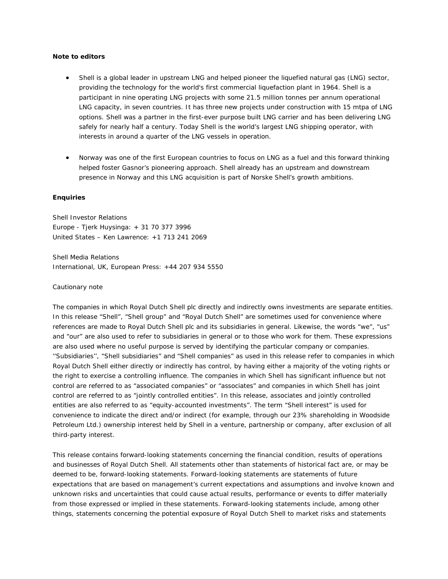# **Note to editors**

- Shell is a global leader in upstream LNG and helped pioneer the liquefied natural gas (LNG) sector, providing the technology for the world's first commercial liquefaction plant in 1964. Shell is a participant in nine operating LNG projects with some 21.5 million tonnes per annum operational LNG capacity, in seven countries. It has three new projects under construction with 15 mtpa of LNG options. Shell was a partner in the first-ever purpose built LNG carrier and has been delivering LNG safely for nearly half a century. Today Shell is the world's largest LNG shipping operator, with interests in around a quarter of the LNG vessels in operation.
- Norway was one of the first European countries to focus on LNG as a fuel and this forward thinking helped foster Gasnor's pioneering approach. Shell already has an upstream and downstream presence in Norway and this LNG acquisition is part of Norske Shell's growth ambitions.

### **Enquiries**

Shell Investor Relations Europe - Tjerk Huysinga: + 31 70 377 3996 United States – Ken Lawrence: +1 713 241 2069

Shell Media Relations International, UK, European Press: +44 207 934 5550

#### Cautionary note

The companies in which Royal Dutch Shell plc directly and indirectly owns investments are separate entities. In this release "Shell", "Shell group" and "Royal Dutch Shell" are sometimes used for convenience where references are made to Royal Dutch Shell plc and its subsidiaries in general. Likewise, the words "we", "us" and "our" are also used to refer to subsidiaries in general or to those who work for them. These expressions are also used where no useful purpose is served by identifying the particular company or companies. ''Subsidiaries'', "Shell subsidiaries" and "Shell companies" as used in this release refer to companies in which Royal Dutch Shell either directly or indirectly has control, by having either a majority of the voting rights or the right to exercise a controlling influence. The companies in which Shell has significant influence but not control are referred to as "associated companies" or "associates" and companies in which Shell has joint control are referred to as "jointly controlled entities". In this release, associates and jointly controlled entities are also referred to as "equity-accounted investments". The term "Shell interest" is used for convenience to indicate the direct and/or indirect (for example, through our 23% shareholding in Woodside Petroleum Ltd.) ownership interest held by Shell in a venture, partnership or company, after exclusion of all third-party interest.

This release contains forward-looking statements concerning the financial condition, results of operations and businesses of Royal Dutch Shell. All statements other than statements of historical fact are, or may be deemed to be, forward-looking statements. Forward-looking statements are statements of future expectations that are based on management's current expectations and assumptions and involve known and unknown risks and uncertainties that could cause actual results, performance or events to differ materially from those expressed or implied in these statements. Forward-looking statements include, among other things, statements concerning the potential exposure of Royal Dutch Shell to market risks and statements